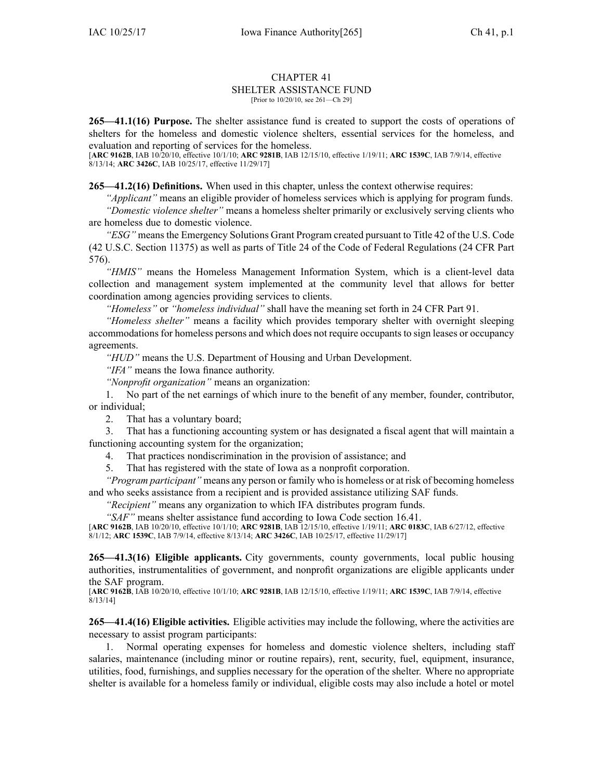## CHAPTER 41 SHELTER ASSISTANCE FUND [Prior to 10/20/10, see 261—Ch 29]

**265—41.1(16) Purpose.** The shelter assistance fund is created to suppor<sup>t</sup> the costs of operations of shelters for the homeless and domestic violence shelters, essential services for the homeless, and evaluation and reporting of services for the homeless.

[**ARC [9162B](https://www.legis.iowa.gov/docs/aco/arc/9162B.pdf)**, IAB 10/20/10, effective 10/1/10; **ARC [9281B](https://www.legis.iowa.gov/docs/aco/arc/9281B.pdf)**, IAB 12/15/10, effective 1/19/11; **ARC [1539C](https://www.legis.iowa.gov/docs/aco/arc/1539C.pdf)**, IAB 7/9/14, effective 8/13/14; **ARC [3426C](https://www.legis.iowa.gov/docs/aco/arc/3426C.pdf)**, IAB 10/25/17, effective 11/29/17]

**265—41.2(16) Definitions.** When used in this chapter, unless the context otherwise requires:

*"Applicant"* means an eligible provider of homeless services which is applying for program funds.

*"Domestic violence shelter"* means <sup>a</sup> homeless shelter primarily or exclusively serving clients who are homeless due to domestic violence.

*"ESG"* means the Emergency Solutions Grant Program created pursuan<sup>t</sup> to Title 42 of the U.S. Code (42 U.S.C. Section 11375) as well as parts of Title 24 of the Code of Federal Regulations (24 CFR Part 576).

*"HMIS"* means the Homeless Management Information System, which is <sup>a</sup> client-level data collection and managemen<sup>t</sup> system implemented at the community level that allows for better coordination among agencies providing services to clients.

*"Homeless"* or *"homeless individual"* shall have the meaning set forth in 24 CFR Part 91.

*"Homeless shelter"* means <sup>a</sup> facility which provides temporary shelter with overnight sleeping accommodations for homeless persons and which does not require occupants to sign leases or occupancy agreements.

*"HUD"* means the U.S. Department of Housing and Urban Development.

*"IFA"* means the Iowa finance authority.

*"Nonprofit organization"* means an organization:

1. No par<sup>t</sup> of the net earnings of which inure to the benefit of any member, founder, contributor, or individual;

2. That has <sup>a</sup> voluntary board;

3. That has <sup>a</sup> functioning accounting system or has designated <sup>a</sup> fiscal agen<sup>t</sup> that will maintain <sup>a</sup> functioning accounting system for the organization;

4. That practices nondiscrimination in the provision of assistance; and

5. That has registered with the state of Iowa as <sup>a</sup> nonprofit corporation.

*"Program participant"* means any person or family who is homeless or at risk of becoming homeless and who seeks assistance from <sup>a</sup> recipient and is provided assistance utilizing SAF funds.

*"Recipient"* means any organization to which IFA distributes program funds.

*"SAF"* means shelter assistance fund according to Iowa Code section [16.41](https://www.legis.iowa.gov/docs/ico/section/16.41.pdf).

[**ARC [9162B](https://www.legis.iowa.gov/docs/aco/arc/9162B.pdf)**, IAB 10/20/10, effective 10/1/10; **ARC [9281B](https://www.legis.iowa.gov/docs/aco/arc/9281B.pdf)**, IAB 12/15/10, effective 1/19/11; **ARC [0183C](https://www.legis.iowa.gov/docs/aco/arc/0183C.pdf)**, IAB 6/27/12, effective 8/1/12; **ARC [1539C](https://www.legis.iowa.gov/docs/aco/arc/1539C.pdf)**, IAB 7/9/14, effective 8/13/14; **ARC [3426C](https://www.legis.iowa.gov/docs/aco/arc/3426C.pdf)**, IAB 10/25/17, effective 11/29/17]

**265—41.3(16) Eligible applicants.** City governments, county governments, local public housing authorities, instrumentalities of government, and nonprofit organizations are eligible applicants under the SAF program.

[**ARC [9162B](https://www.legis.iowa.gov/docs/aco/arc/9162B.pdf)**, IAB 10/20/10, effective 10/1/10; **ARC [9281B](https://www.legis.iowa.gov/docs/aco/arc/9281B.pdf)**, IAB 12/15/10, effective 1/19/11; **ARC [1539C](https://www.legis.iowa.gov/docs/aco/arc/1539C.pdf)**, IAB 7/9/14, effective  $8/13/14$ ]

**265—41.4(16) Eligible activities.** Eligible activities may include the following, where the activities are necessary to assist program participants:

1. Normal operating expenses for homeless and domestic violence shelters, including staff salaries, maintenance (including minor or routine repairs), rent, security, fuel, equipment, insurance, utilities, food, furnishings, and supplies necessary for the operation of the shelter. Where no appropriate shelter is available for <sup>a</sup> homeless family or individual, eligible costs may also include <sup>a</sup> hotel or motel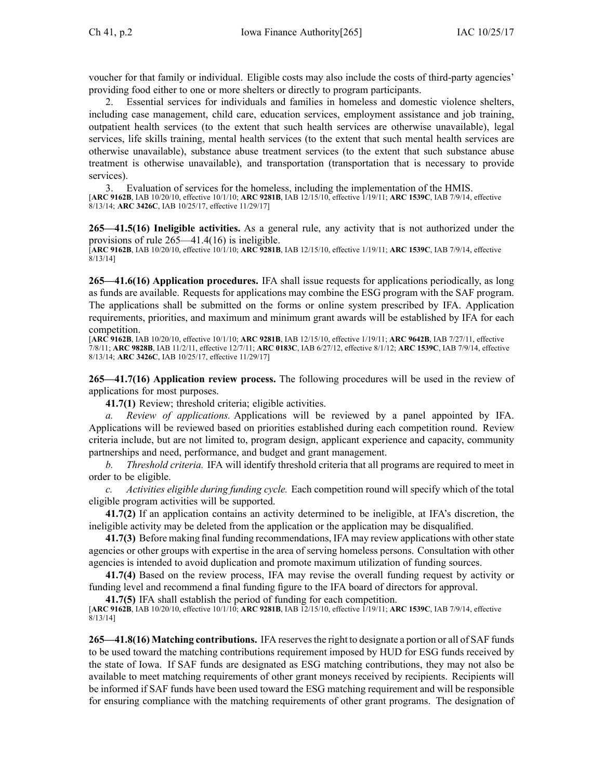voucher for that family or individual. Eligible costs may also include the costs of third-party agencies' providing food either to one or more shelters or directly to program participants.

2. Essential services for individuals and families in homeless and domestic violence shelters, including case management, child care, education services, employment assistance and job training, outpatient health services (to the extent that such health services are otherwise unavailable), legal services, life skills training, mental health services (to the extent that such mental health services are otherwise unavailable), substance abuse treatment services (to the extent that such substance abuse treatment is otherwise unavailable), and transportation (transportation that is necessary to provide services).

3. Evaluation of services for the homeless, including the implementation of the HMIS. [**ARC [9162B](https://www.legis.iowa.gov/docs/aco/arc/9162B.pdf)**, IAB 10/20/10, effective 10/1/10; **ARC [9281B](https://www.legis.iowa.gov/docs/aco/arc/9281B.pdf)**, IAB 12/15/10, effective 1/19/11; **ARC [1539C](https://www.legis.iowa.gov/docs/aco/arc/1539C.pdf)**, IAB 7/9/14, effective 8/13/14; **ARC [3426C](https://www.legis.iowa.gov/docs/aco/arc/3426C.pdf)**, IAB 10/25/17, effective 11/29/17]

**265—41.5(16) Ineligible activities.** As <sup>a</sup> general rule, any activity that is not authorized under the provisions of rule [265—41.4](https://www.legis.iowa.gov/docs/iac/rule/265.41.4.pdf)(16) is ineligible.

[**ARC [9162B](https://www.legis.iowa.gov/docs/aco/arc/9162B.pdf)**, IAB 10/20/10, effective 10/1/10; **ARC [9281B](https://www.legis.iowa.gov/docs/aco/arc/9281B.pdf)**, IAB 12/15/10, effective 1/19/11; **ARC [1539C](https://www.legis.iowa.gov/docs/aco/arc/1539C.pdf)**, IAB 7/9/14, effective 8/13/14]

**265—41.6(16) Application procedures.** IFA shall issue requests for applications periodically, as long as funds are available. Requests for applications may combine the ESG program with the SAF program. The applications shall be submitted on the forms or online system prescribed by IFA. Application requirements, priorities, and maximum and minimum gran<sup>t</sup> awards will be established by IFA for each competition.

[**ARC [9162B](https://www.legis.iowa.gov/docs/aco/arc/9162B.pdf)**, IAB 10/20/10, effective 10/1/10; **ARC [9281B](https://www.legis.iowa.gov/docs/aco/arc/9281B.pdf)**, IAB 12/15/10, effective 1/19/11; **ARC [9642B](https://www.legis.iowa.gov/docs/aco/arc/9642B.pdf)**, IAB 7/27/11, effective 7/8/11; **ARC [9828B](https://www.legis.iowa.gov/docs/aco/arc/9828B.pdf)**, IAB 11/2/11, effective 12/7/11; **ARC [0183C](https://www.legis.iowa.gov/docs/aco/arc/0183C.pdf)**, IAB 6/27/12, effective 8/1/12; **ARC [1539C](https://www.legis.iowa.gov/docs/aco/arc/1539C.pdf)**, IAB 7/9/14, effective 8/13/14; **ARC [3426C](https://www.legis.iowa.gov/docs/aco/arc/3426C.pdf)**, IAB 10/25/17, effective 11/29/17]

**265—41.7(16) Application review process.** The following procedures will be used in the review of applications for most purposes.

**41.7(1)** Review; threshold criteria; eligible activities.

*a. Review of applications.* Applications will be reviewed by <sup>a</sup> panel appointed by IFA. Applications will be reviewed based on priorities established during each competition round. Review criteria include, but are not limited to, program design, applicant experience and capacity, community partnerships and need, performance, and budget and gran<sup>t</sup> management.

*b. Threshold criteria.* IFA will identify threshold criteria that all programs are required to meet in order to be eligible.

*c. Activities eligible during funding cycle.* Each competition round will specify which of the total eligible program activities will be supported.

**41.7(2)** If an application contains an activity determined to be ineligible, at IFA's discretion, the ineligible activity may be deleted from the application or the application may be disqualified.

**41.7(3)** Before making final funding recommendations, IFA may review applications with otherstate agencies or other groups with expertise in the area of serving homeless persons. Consultation with other agencies is intended to avoid duplication and promote maximum utilization of funding sources.

**41.7(4)** Based on the review process, IFA may revise the overall funding reques<sup>t</sup> by activity or funding level and recommend <sup>a</sup> final funding figure to the IFA board of directors for approval.

**41.7(5)** IFA shall establish the period of funding for each competition.

[**ARC [9162B](https://www.legis.iowa.gov/docs/aco/arc/9162B.pdf)**, IAB 10/20/10, effective 10/1/10; **ARC [9281B](https://www.legis.iowa.gov/docs/aco/arc/9281B.pdf)**, IAB 12/15/10, effective 1/19/11; **ARC [1539C](https://www.legis.iowa.gov/docs/aco/arc/1539C.pdf)**, IAB 7/9/14, effective 8/13/14]

**265—41.8(16)** Matching contributions. IFA reserves the right to designate a portion or all of SAF funds to be used toward the matching contributions requirement imposed by HUD for ESG funds received by the state of Iowa. If SAF funds are designated as ESG matching contributions, they may not also be available to meet matching requirements of other gran<sup>t</sup> moneys received by recipients. Recipients will be informed if SAF funds have been used toward the ESG matching requirement and will be responsible for ensuring compliance with the matching requirements of other gran<sup>t</sup> programs. The designation of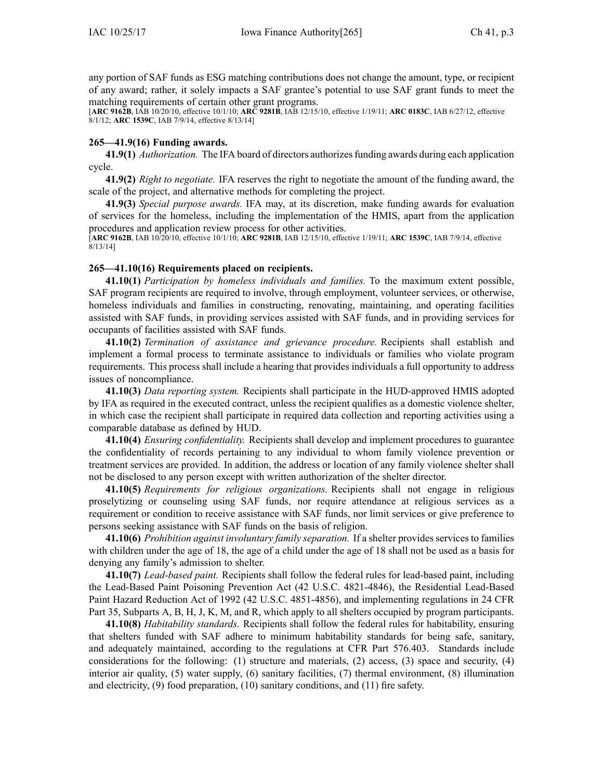any portion of SAF funds as ESG matching contributions does not change the amount, type, or recipient of any award; rather, it solely impacts <sup>a</sup> SAF grantee's potential to use SAF gran<sup>t</sup> funds to meet the matching requirements of certain other gran<sup>t</sup> programs.

[**ARC [9162B](https://www.legis.iowa.gov/docs/aco/arc/9162B.pdf)**, IAB 10/20/10, effective 10/1/10; **ARC [9281B](https://www.legis.iowa.gov/docs/aco/arc/9281B.pdf)**, IAB 12/15/10, effective 1/19/11; **ARC [0183C](https://www.legis.iowa.gov/docs/aco/arc/0183C.pdf)**, IAB 6/27/12, effective 8/1/12; **ARC [1539C](https://www.legis.iowa.gov/docs/aco/arc/1539C.pdf)**, IAB 7/9/14, effective 8/13/14]

## **265—41.9(16) Funding awards.**

**41.9(1)** *Authorization.* The IFA board of directors authorizesfunding awards during each application cycle.

**41.9(2)** *Right to negotiate.* IFA reserves the right to negotiate the amount of the funding award, the scale of the project, and alternative methods for completing the project.

**41.9(3)** *Special purpose awards.* IFA may, at its discretion, make funding awards for evaluation of services for the homeless, including the implementation of the HMIS, apar<sup>t</sup> from the application procedures and application review process for other activities.

[**ARC [9162B](https://www.legis.iowa.gov/docs/aco/arc/9162B.pdf)**, IAB 10/20/10, effective 10/1/10; **ARC [9281B](https://www.legis.iowa.gov/docs/aco/arc/9281B.pdf)**, IAB 12/15/10, effective 1/19/11; **ARC [1539C](https://www.legis.iowa.gov/docs/aco/arc/1539C.pdf)**, IAB 7/9/14, effective 8/13/14]

## **265—41.10(16) Requirements placed on recipients.**

**41.10(1)** *Participation by homeless individuals and families.* To the maximum extent possible, SAF program recipients are required to involve, through employment, volunteer services, or otherwise, homeless individuals and families in constructing, renovating, maintaining, and operating facilities assisted with SAF funds, in providing services assisted with SAF funds, and in providing services for occupants of facilities assisted with SAF funds.

**41.10(2)** *Termination of assistance and grievance procedure.* Recipients shall establish and implement <sup>a</sup> formal process to terminate assistance to individuals or families who violate program requirements. This process shall include <sup>a</sup> hearing that provides individuals <sup>a</sup> full opportunity to address issues of noncompliance.

**41.10(3)** *Data reporting system.* Recipients shall participate in the HUD-approved HMIS adopted by IFA as required in the executed contract, unless the recipient qualifies as <sup>a</sup> domestic violence shelter, in which case the recipient shall participate in required data collection and reporting activities using <sup>a</sup> comparable database as defined by HUD.

**41.10(4)** *Ensuring confidentiality.* Recipients shall develop and implement procedures to guarantee the confidentiality of records pertaining to any individual to whom family violence prevention or treatment services are provided. In addition, the address or location of any family violence shelter shall not be disclosed to any person excep<sup>t</sup> with written authorization of the shelter director.

**41.10(5)** *Requirements for religious organizations.* Recipients shall not engage in religious proselytizing or counseling using SAF funds, nor require attendance at religious services as <sup>a</sup> requirement or condition to receive assistance with SAF funds, nor limit services or give preference to persons seeking assistance with SAF funds on the basis of religion.

**41.10(6)** *Prohibition against involuntary family separation.* If <sup>a</sup> shelter provides services to families with children under the age of 18, the age of <sup>a</sup> child under the age of 18 shall not be used as <sup>a</sup> basis for denying any family's admission to shelter.

**41.10(7)** *Lead-based paint.* Recipients shall follow the federal rules for lead-based paint, including the Lead-Based Paint Poisoning Prevention Act (42 U.S.C. 4821-4846), the Residential Lead-Based Paint Hazard Reduction Act of 1992 (42 U.S.C. 4851-4856), and implementing regulations in 24 CFR Part 35, Subparts A, B, H, J, K, M, and R, which apply to all shelters occupied by program participants.

**41.10(8)** *Habitability standards.* Recipients shall follow the federal rules for habitability, ensuring that shelters funded with SAF adhere to minimum habitability standards for being safe, sanitary, and adequately maintained, according to the regulations at CFR Part 576.403. Standards include considerations for the following: (1) structure and materials, (2) access, (3) space and security, (4) interior air quality, (5) water supply, (6) sanitary facilities, (7) thermal environment, (8) illumination and electricity, (9) food preparation, (10) sanitary conditions, and (11) fire safety.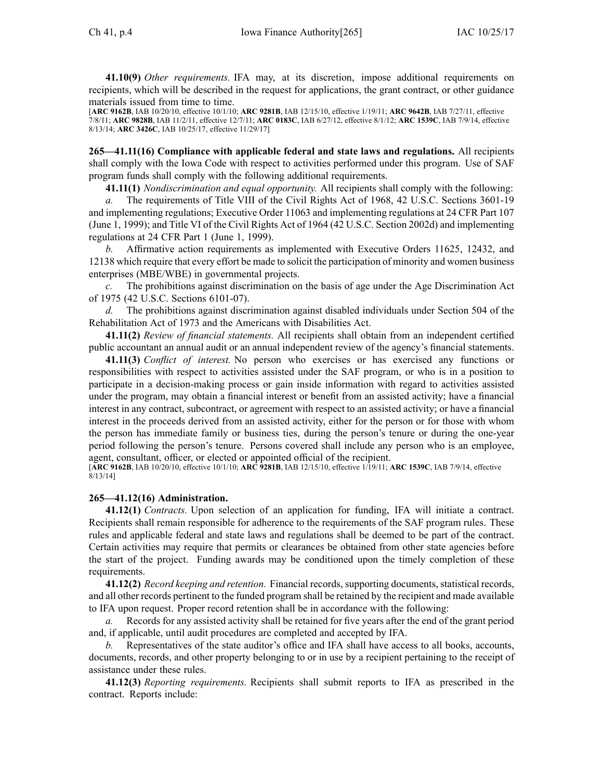**41.10(9)** *Other requirements.* IFA may, at its discretion, impose additional requirements on recipients, which will be described in the reques<sup>t</sup> for applications, the gran<sup>t</sup> contract, or other guidance materials issued from time to time.

[**ARC [9162B](https://www.legis.iowa.gov/docs/aco/arc/9162B.pdf)**, IAB 10/20/10, effective 10/1/10; **ARC [9281B](https://www.legis.iowa.gov/docs/aco/arc/9281B.pdf)**, IAB 12/15/10, effective 1/19/11; **ARC [9642B](https://www.legis.iowa.gov/docs/aco/arc/9642B.pdf)**, IAB 7/27/11, effective 7/8/11; **ARC [9828B](https://www.legis.iowa.gov/docs/aco/arc/9828B.pdf)**, IAB 11/2/11, effective 12/7/11; **ARC [0183C](https://www.legis.iowa.gov/docs/aco/arc/0183C.pdf)**, IAB 6/27/12, effective 8/1/12; **ARC [1539C](https://www.legis.iowa.gov/docs/aco/arc/1539C.pdf)**, IAB 7/9/14, effective 8/13/14; **ARC [3426C](https://www.legis.iowa.gov/docs/aco/arc/3426C.pdf)**, IAB 10/25/17, effective 11/29/17]

**265—41.11(16) Compliance with applicable federal and state laws and regulations.** All recipients shall comply with the Iowa Code with respec<sup>t</sup> to activities performed under this program. Use of SAF program funds shall comply with the following additional requirements.

**41.11(1)** *Nondiscrimination and equal opportunity.* All recipients shall comply with the following:

*a.* The requirements of Title VIII of the Civil Rights Act of 1968, 42 U.S.C. Sections 3601-19 and implementing regulations; Executive Order 11063 and implementing regulations at 24 CFR Part 107 (June 1, 1999); and Title VI of the Civil Rights Act of 1964 (42 U.S.C. Section 2002d) and implementing regulations at 24 CFR Part 1 (June 1, 1999).

*b.* Affirmative action requirements as implemented with Executive Orders 11625, 12432, and 12138 which require that every effort be made to solicit the participation of minority and women business enterprises (MBE/WBE) in governmental projects.

*c.* The prohibitions against discrimination on the basis of age under the Age Discrimination Act of 1975 (42 U.S.C. Sections 6101-07).

*d.* The prohibitions against discrimination against disabled individuals under Section 504 of the Rehabilitation Act of 1973 and the Americans with Disabilities Act.

**41.11(2)** *Review of financial statements.* All recipients shall obtain from an independent certified public accountant an annual audit or an annual independent review of the agency's financial statements.

**41.11(3)** *Conflict of interest.* No person who exercises or has exercised any functions or responsibilities with respec<sup>t</sup> to activities assisted under the SAF program, or who is in <sup>a</sup> position to participate in <sup>a</sup> decision-making process or gain inside information with regard to activities assisted under the program, may obtain <sup>a</sup> financial interest or benefit from an assisted activity; have <sup>a</sup> financial interest in any contract, subcontract, or agreemen<sup>t</sup> with respec<sup>t</sup> to an assisted activity; or have <sup>a</sup> financial interest in the proceeds derived from an assisted activity, either for the person or for those with whom the person has immediate family or business ties, during the person's tenure or during the one-year period following the person's tenure. Persons covered shall include any person who is an employee, agent, consultant, officer, or elected or appointed official of the recipient.

[**ARC [9162B](https://www.legis.iowa.gov/docs/aco/arc/9162B.pdf)**, IAB 10/20/10, effective 10/1/10; **ARC [9281B](https://www.legis.iowa.gov/docs/aco/arc/9281B.pdf)**, IAB 12/15/10, effective 1/19/11; **ARC [1539C](https://www.legis.iowa.gov/docs/aco/arc/1539C.pdf)**, IAB 7/9/14, effective  $8/13/14$ ]

## **265—41.12(16) Administration.**

**41.12(1)** *Contracts.* Upon selection of an application for funding, IFA will initiate <sup>a</sup> contract. Recipients shall remain responsible for adherence to the requirements of the SAF program rules. These rules and applicable federal and state laws and regulations shall be deemed to be par<sup>t</sup> of the contract. Certain activities may require that permits or clearances be obtained from other state agencies before the start of the project. Funding awards may be conditioned upon the timely completion of these requirements.

**41.12(2)** *Record keeping and retention.* Financial records, supporting documents, statistical records, and all other records pertinent to the funded program shall be retained by the recipient and made available to IFA upon request. Proper record retention shall be in accordance with the following:

*a.* Records for any assisted activity shall be retained for five years after the end of the gran<sup>t</sup> period and, if applicable, until audit procedures are completed and accepted by IFA.

*b.* Representatives of the state auditor's office and IFA shall have access to all books, accounts, documents, records, and other property belonging to or in use by <sup>a</sup> recipient pertaining to the receipt of assistance under these rules.

**41.12(3)** *Reporting requirements.* Recipients shall submit reports to IFA as prescribed in the contract. Reports include: